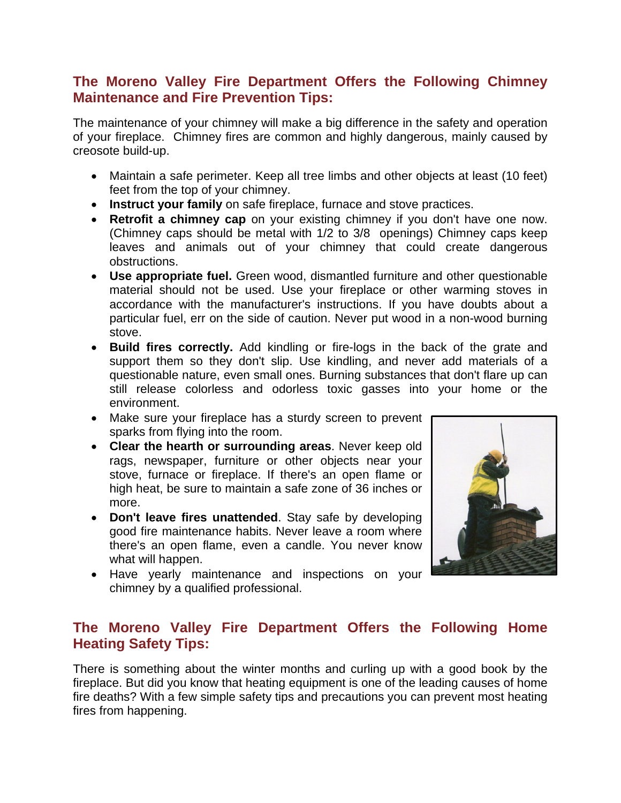## **The Moreno Valley Fire Department Offers the Following Chimney Maintenance and Fire Prevention Tips:**

The maintenance of your chimney will make a big difference in the safety and operation of your fireplace. Chimney fires are common and highly dangerous, mainly caused by creosote build-up.

- Maintain a safe perimeter. Keep all tree limbs and other objects at least (10 feet) feet from the top of your chimney.
- **Instruct your family** on safe fireplace, furnace and stove practices.
- **Retrofit a chimney cap** on your existing chimney if you don't have one now. (Chimney caps should be metal with 1/2 to 3/8 openings) Chimney caps keep leaves and animals out of your chimney that could create dangerous obstructions.
- **Use appropriate fuel.** Green wood, dismantled furniture and other questionable material should not be used. Use your fireplace or other warming stoves in accordance with the manufacturer's instructions. If you have doubts about a particular fuel, err on the side of caution. Never put wood in a non-wood burning stove.
- **Build fires correctly.** Add kindling or fire-logs in the back of the grate and support them so they don't slip. Use kindling, and never add materials of a questionable nature, even small ones. Burning substances that don't flare up can still release colorless and odorless toxic gasses into your home or the environment.
- Make sure your fireplace has a sturdy screen to prevent sparks from flying into the room.
- **Clear the hearth or surrounding areas**. Never keep old rags, newspaper, furniture or other objects near your stove, furnace or fireplace. If there's an open flame or high heat, be sure to maintain a safe zone of 36 inches or more.
- **Don't leave fires unattended**. Stay safe by developing good fire maintenance habits. Never leave a room where there's an open flame, even a candle. You never know what will happen.
- Have yearly maintenance and inspections on your chimney by a qualified professional.



## **The Moreno Valley Fire Department Offers the Following Home Heating Safety Tips:**

There is something about the winter months and curling up with a good book by the fireplace. But did you know that heating equipment is one of the leading causes of home fire deaths? With a few simple safety tips and precautions you can prevent most heating fires from happening.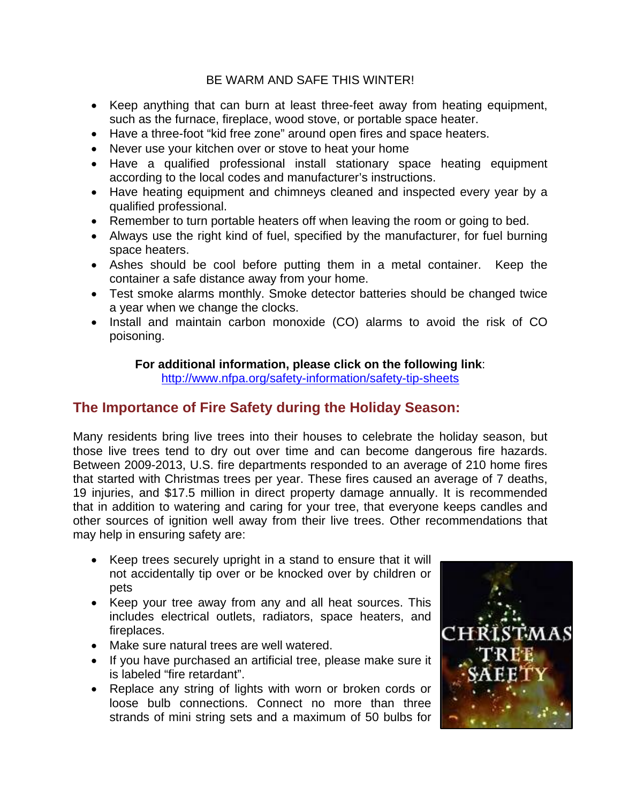### BE WARM AND SAFE THIS WINTER!

- Keep anything that can burn at least three-feet away from heating equipment, such as the furnace, fireplace, wood stove, or portable space heater.
- Have a three-foot "kid free zone" around open fires and space heaters.
- Never use your kitchen over or stove to heat your home
- Have a qualified professional install stationary space heating equipment according to the local codes and manufacturer's instructions.
- Have heating equipment and chimneys cleaned and inspected every year by a qualified professional.
- Remember to turn portable heaters off when leaving the room or going to bed.
- Always use the right kind of fuel, specified by the manufacturer, for fuel burning space heaters.
- Ashes should be cool before putting them in a metal container. Keep the container a safe distance away from your home.
- Test smoke alarms monthly. Smoke detector batteries should be changed twice a year when we change the clocks.
- Install and maintain carbon monoxide (CO) alarms to avoid the risk of CO poisoning.

#### **For additional information, please click on the following link**:

<http://www.nfpa.org/safety-information/safety-tip-sheets>

# **The Importance of Fire Safety during the Holiday Season:**

Many residents bring live trees into their houses to celebrate the holiday season, but those live trees tend to dry out over time and can become dangerous fire hazards. Between 2009-2013, U.S. fire departments responded to an average of 210 home fires that started with Christmas trees per year. These fires caused an average of 7 deaths, 19 injuries, and \$17.5 million in direct property damage annually. It is recommended that in addition to watering and caring for your tree, that everyone keeps candles and other sources of ignition well away from their live trees. Other recommendations that may help in ensuring safety are:

- Keep trees securely upright in a stand to ensure that it will not accidentally tip over or be knocked over by children or pets
- Keep your tree away from any and all heat sources. This includes electrical outlets, radiators, space heaters, and fireplaces.
- Make sure natural trees are well watered.
- If you have purchased an artificial tree, please make sure it is labeled "fire retardant".
- Replace any string of lights with worn or broken cords or loose bulb connections. Connect no more than three strands of mini string sets and a maximum of 50 bulbs for